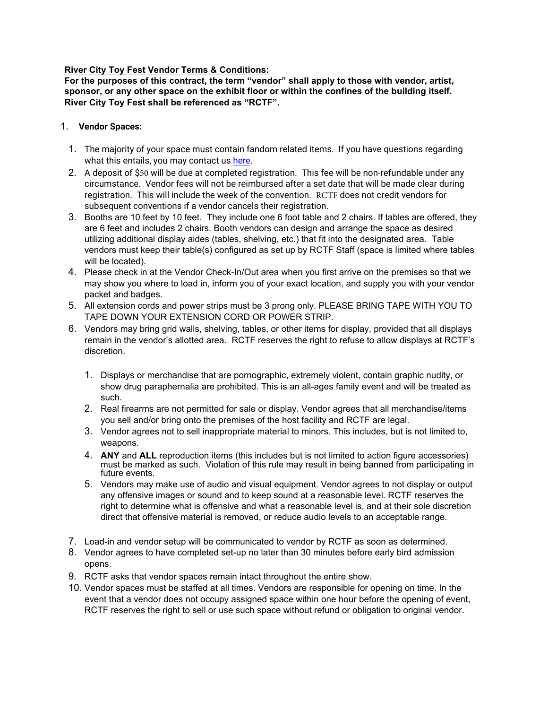#### **River City Toy Fest Vendor Terms & Conditions:**

**For the purposes of this contract, the term "vendor" shall apply to those with vendor, artist, sponsor, or any other space on the exhibit floor or within the confines of the building itself. River City Toy Fest shall be referenced as "RCTF".**

#### 1. **Vendor Spaces:**

- 1. The majority of your space must contain fandom related items. If you have questions regarding what this entails, you may contact us [here.](https://www.facebook.com/mstoycon/)
- 2. A deposit of \$50 will be due at completed registration. This fee will be non-refundable under any circumstance. Vendor fees will not be reimbursed after a set date that will be made clear during registration. This will include the week of the convention. RCTF does not credit vendors for subsequent conventions if a vendor cancels their registration.
- 3. Booths are 10 feet by 10 feet. They include one 6 foot table and 2 chairs. If tables are offered, they are 6 feet and includes 2 chairs. Booth vendors can design and arrange the space as desired utilizing additional display aides (tables, shelving, etc.) that fit into the designated area. Table vendors must keep their table(s) configured as set up by RCTF Staff (space is limited where tables will be located).
- 4. Please check in at the Vendor Check-In/Out area when you first arrive on the premises so that we may show you where to load in, inform you of your exact location, and supply you with your vendor packet and badges.
- 5. All extension cords and power strips must be 3 prong only. PLEASE BRING TAPE WITH YOU TO TAPE DOWN YOUR EXTENSION CORD OR POWER STRIP.
- 6. Vendors may bring grid walls, shelving, tables, or other items for display, provided that all displays remain in the vendor's allotted area. RCTF reserves the right to refuse to allow displays at RCTF's discretion.
	- 1. Displays or merchandise that are pornographic, extremely violent, contain graphic nudity, or show drug paraphernalia are prohibited. This is an all-ages family event and will be treated as such.
	- 2. Real firearms are not permitted for sale or display. Vendor agrees that all merchandise/items you sell and/or bring onto the premises of the host facility and RCTF are legal.
	- 3. Vendor agrees not to sell inappropriate material to minors. This includes, but is not limited to, weapons.
	- 4. **ANY** and **ALL** reproduction items (this includes but is not limited to action figure accessories) must be marked as such. Violation of this rule may result in being banned from participating in future events.
	- 5. Vendors may make use of audio and visual equipment. Vendor agrees to not display or output any offensive images or sound and to keep sound at a reasonable level. RCTF reserves the right to determine what is offensive and what a reasonable level is, and at their sole discretion direct that offensive material is removed, or reduce audio levels to an acceptable range.
- 7. Load-in and vendor setup will be communicated to vendor by RCTF as soon as determined.
- 8. Vendor agrees to have completed set-up no later than 30 minutes before early bird admission opens.
- 9. RCTF asks that vendor spaces remain intact throughout the entire show.
- 10. Vendor spaces must be staffed at all times. Vendors are responsible for opening on time. In the event that a vendor does not occupy assigned space within one hour before the opening of event, RCTF reserves the right to sell or use such space without refund or obligation to original vendor.